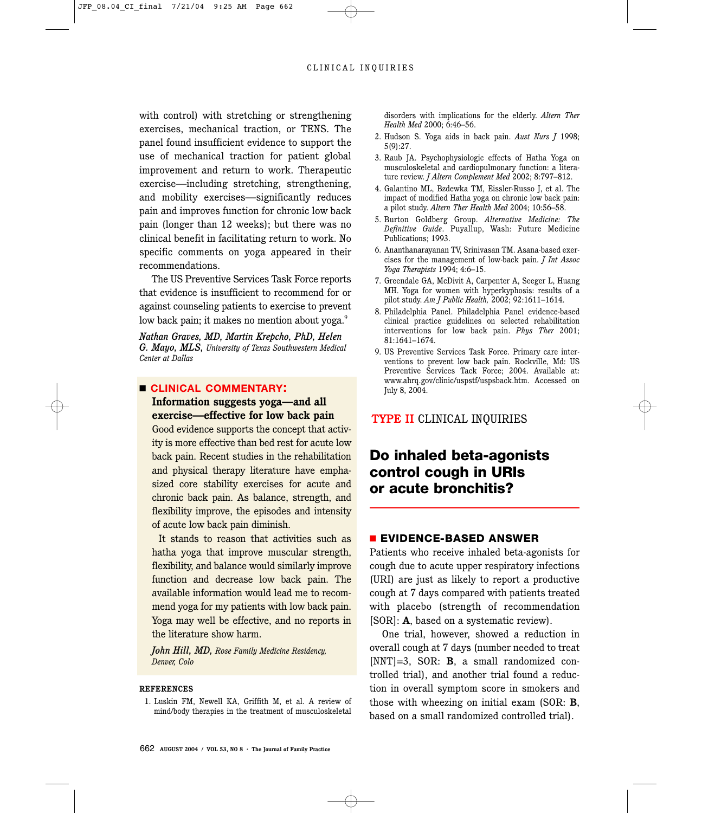with control) with stretching or strengthening exercises, mechanical traction, or TENS. The panel found insufficient evidence to support the use of mechanical traction for patient global improvement and return to work. Therapeutic exercise—including stretching, strengthening, and mobility exercises—significantly reduces pain and improves function for chronic low back pain (longer than 12 weeks); but there was no clinical benefit in facilitating return to work. No specific comments on yoga appeared in their recommendations.

The US Preventive Services Task Force reports that evidence is insufficient to recommend for or against counseling patients to exercise to prevent low back pain; it makes no mention about yoga.<sup>9</sup>

*Nathan Graves, MD, Martin Krepcho, PhD, Helen G. Mayo, MLS, University of Texas Southwestern Medical Center at Dallas*

### ■ **CLINICAL COMMENTARY:**

**Information suggests yoga—and all exercise—effective for low back pain**

Good evidence supports the concept that activity is more effective than bed rest for acute low back pain. Recent studies in the rehabilitation and physical therapy literature have emphasized core stability exercises for acute and chronic back pain. As balance, strength, and flexibility improve, the episodes and intensity of acute low back pain diminish.

It stands to reason that activities such as hatha yoga that improve muscular strength, flexibility, and balance would similarly improve function and decrease low back pain. The available information would lead me to recommend yoga for my patients with low back pain. Yoga may well be effective, and no reports in the literature show harm.

*John Hill, MD, Rose Family Medicine Residency, Denver, Colo*

### **REFERENCES**

1. Luskin FM, Newell KA, Griffith M, et al. A review of mind/body therapies in the treatment of musculoskeletal disorders with implications for the elderly. *Altern Ther Health Med* 2000; 6:46–56.

- 2. Hudson S. Yoga aids in back pain. *Aust Nurs J* 1998; 5(9):27.
- 3. Raub JA. Psychophysiologic effects of Hatha Yoga on musculoskeletal and cardiopulmonary function: a literature review. *J Altern Complement Med* 2002; 8:797–812.
- 4. Galantino ML, Bzdewka TM, Eissler-Russo J, et al. The impact of modified Hatha yoga on chronic low back pain: a pilot study. *Altern Ther Health Med* 2004; 10:56–58.
- 5. Burton Goldberg Group. *Alternative Medicine: The Definitive Guide*. Puyallup, Wash: Future Medicine Publications; 1993.
- 6. Ananthanarayanan TV, Srinivasan TM. Asana-based exercises for the management of low-back pain. *J Int Assoc Yoga Therapists* 1994; 4:6–15.
- 7. Greendale GA, McDivit A, Carpenter A, Seeger L, Huang MH. Yoga for women with hyperkyphosis: results of a pilot study. *Am J Public Health,* 2002; 92:1611–1614.
- 8. Philadelphia Panel. Philadelphia Panel evidence-based clinical practice guidelines on selected rehabilitation interventions for low back pain. *Phys Ther* 2001; 81:1641–1674.
- 9. US Preventive Services Task Force. Primary care interventions to prevent low back pain. Rockville, Md: US Preventive Services Tack Force; 2004. Available at: www.ahrq.gov/clinic/uspstf/uspsback.htm. Accessed on July 8, 2004.

### **TYPE II** CLINICAL INQUIRIES

# **Do inhaled beta-agonists control cough in URIs or acute bronchitis?**

## ■ **EVIDENCE-BASED ANSWER**

Patients who receive inhaled beta-agonists for cough due to acute upper respiratory infections (URI) are just as likely to report a productive cough at 7 days compared with patients treated with placebo (strength of recommendation [SOR]: **A**, based on a systematic review).

One trial, however, showed a reduction in overall cough at 7 days (number needed to treat [NNT]=3, SOR: **B**, a small randomized controlled trial), and another trial found a reduction in overall symptom score in smokers and those with wheezing on initial exam (SOR: **B**, based on a small randomized controlled trial).